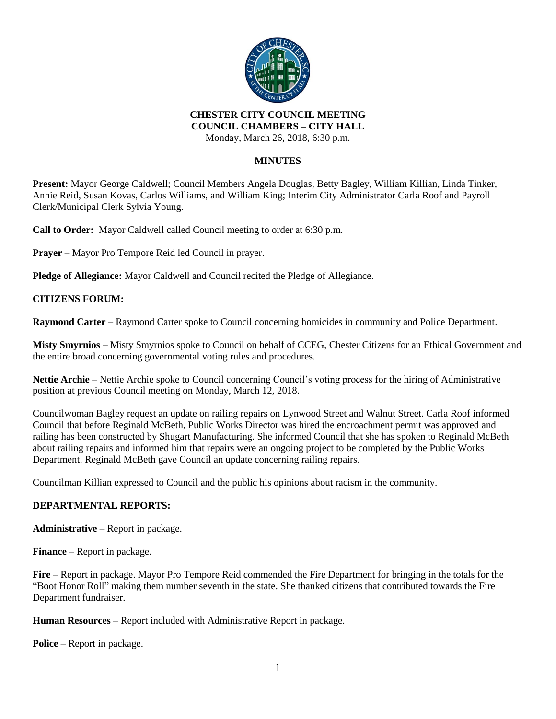

# **CHESTER CITY COUNCIL MEETING COUNCIL CHAMBERS – CITY HALL**

Monday, March 26, 2018, 6:30 p.m.

## **MINUTES**

**Present:** Mayor George Caldwell; Council Members Angela Douglas, Betty Bagley, William Killian, Linda Tinker, Annie Reid, Susan Kovas, Carlos Williams, and William King; Interim City Administrator Carla Roof and Payroll Clerk/Municipal Clerk Sylvia Young.

**Call to Order:** Mayor Caldwell called Council meeting to order at 6:30 p.m.

**Prayer –** Mayor Pro Tempore Reid led Council in prayer.

**Pledge of Allegiance:** Mayor Caldwell and Council recited the Pledge of Allegiance.

# **CITIZENS FORUM:**

**Raymond Carter –** Raymond Carter spoke to Council concerning homicides in community and Police Department.

**Misty Smyrnios –** Misty Smyrnios spoke to Council on behalf of CCEG, Chester Citizens for an Ethical Government and the entire broad concerning governmental voting rules and procedures.

**Nettie Archie** – Nettie Archie spoke to Council concerning Council's voting process for the hiring of Administrative position at previous Council meeting on Monday, March 12, 2018.

Councilwoman Bagley request an update on railing repairs on Lynwood Street and Walnut Street. Carla Roof informed Council that before Reginald McBeth, Public Works Director was hired the encroachment permit was approved and railing has been constructed by Shugart Manufacturing. She informed Council that she has spoken to Reginald McBeth about railing repairs and informed him that repairs were an ongoing project to be completed by the Public Works Department. Reginald McBeth gave Council an update concerning railing repairs.

Councilman Killian expressed to Council and the public his opinions about racism in the community.

### **DEPARTMENTAL REPORTS:**

**Administrative** – Report in package.

**Finance** – Report in package.

**Fire** – Report in package. Mayor Pro Tempore Reid commended the Fire Department for bringing in the totals for the "Boot Honor Roll" making them number seventh in the state. She thanked citizens that contributed towards the Fire Department fundraiser.

**Human Resources** – Report included with Administrative Report in package.

**Police** – Report in package.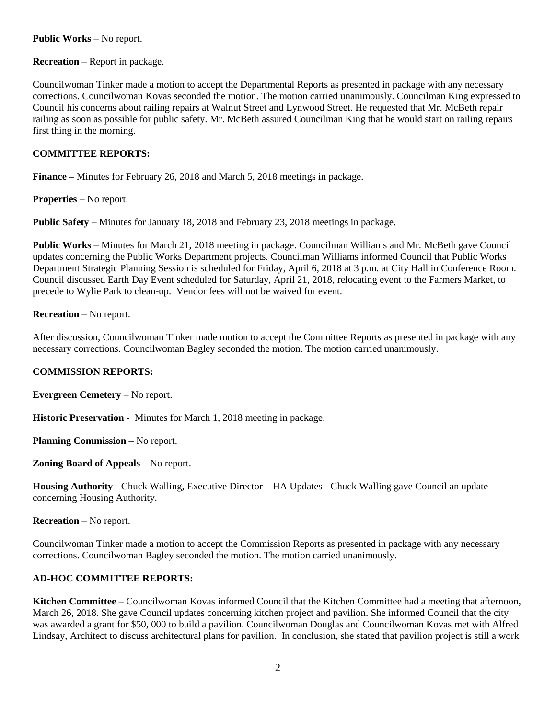### **Public Works** – No report.

**Recreation** – Report in package.

Councilwoman Tinker made a motion to accept the Departmental Reports as presented in package with any necessary corrections. Councilwoman Kovas seconded the motion. The motion carried unanimously. Councilman King expressed to Council his concerns about railing repairs at Walnut Street and Lynwood Street. He requested that Mr. McBeth repair railing as soon as possible for public safety. Mr. McBeth assured Councilman King that he would start on railing repairs first thing in the morning.

### **COMMITTEE REPORTS:**

**Finance –** Minutes for February 26, 2018 and March 5, 2018 meetings in package.

**Properties –** No report.

**Public Safety –** Minutes for January 18, 2018 and February 23, 2018 meetings in package.

**Public Works –** Minutes for March 21, 2018 meeting in package. Councilman Williams and Mr. McBeth gave Council updates concerning the Public Works Department projects. Councilman Williams informed Council that Public Works Department Strategic Planning Session is scheduled for Friday, April 6, 2018 at 3 p.m. at City Hall in Conference Room. Council discussed Earth Day Event scheduled for Saturday, April 21, 2018, relocating event to the Farmers Market, to precede to Wylie Park to clean-up. Vendor fees will not be waived for event.

**Recreation –** No report.

After discussion, Councilwoman Tinker made motion to accept the Committee Reports as presented in package with any necessary corrections. Councilwoman Bagley seconded the motion. The motion carried unanimously.

### **COMMISSION REPORTS:**

**Evergreen Cemetery** – No report.

**Historic Preservation -** Minutes for March 1, 2018 meeting in package.

**Planning Commission –** No report.

**Zoning Board of Appeals –** No report.

**Housing Authority -** Chuck Walling, Executive Director – HA Updates - Chuck Walling gave Council an update concerning Housing Authority.

**Recreation –** No report.

Councilwoman Tinker made a motion to accept the Commission Reports as presented in package with any necessary corrections. Councilwoman Bagley seconded the motion. The motion carried unanimously.

### **AD-HOC COMMITTEE REPORTS:**

**Kitchen Committee** – Councilwoman Kovas informed Council that the Kitchen Committee had a meeting that afternoon, March 26, 2018. She gave Council updates concerning kitchen project and pavilion. She informed Council that the city was awarded a grant for \$50, 000 to build a pavilion. Councilwoman Douglas and Councilwoman Kovas met with Alfred Lindsay, Architect to discuss architectural plans for pavilion. In conclusion, she stated that pavilion project is still a work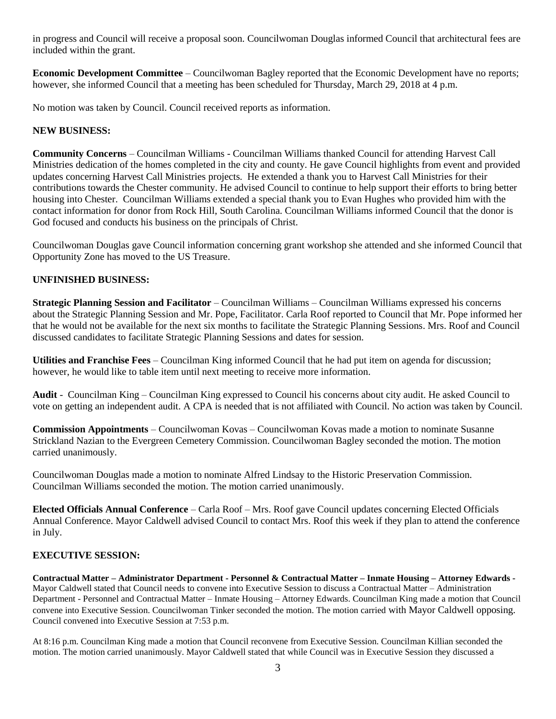in progress and Council will receive a proposal soon. Councilwoman Douglas informed Council that architectural fees are included within the grant.

**Economic Development Committee** – Councilwoman Bagley reported that the Economic Development have no reports; however, she informed Council that a meeting has been scheduled for Thursday, March 29, 2018 at 4 p.m.

No motion was taken by Council. Council received reports as information.

# **NEW BUSINESS:**

**Community Concerns** – Councilman Williams - Councilman Williams thanked Council for attending Harvest Call Ministries dedication of the homes completed in the city and county. He gave Council highlights from event and provided updates concerning Harvest Call Ministries projects. He extended a thank you to Harvest Call Ministries for their contributions towards the Chester community. He advised Council to continue to help support their efforts to bring better housing into Chester. Councilman Williams extended a special thank you to Evan Hughes who provided him with the contact information for donor from Rock Hill, South Carolina. Councilman Williams informed Council that the donor is God focused and conducts his business on the principals of Christ.

Councilwoman Douglas gave Council information concerning grant workshop she attended and she informed Council that Opportunity Zone has moved to the US Treasure.

# **UNFINISHED BUSINESS:**

**Strategic Planning Session and Facilitator** – Councilman Williams – Councilman Williams expressed his concerns about the Strategic Planning Session and Mr. Pope, Facilitator. Carla Roof reported to Council that Mr. Pope informed her that he would not be available for the next six months to facilitate the Strategic Planning Sessions. Mrs. Roof and Council discussed candidates to facilitate Strategic Planning Sessions and dates for session.

**Utilities and Franchise Fees** – Councilman King informed Council that he had put item on agenda for discussion; however, he would like to table item until next meeting to receive more information.

**Audit** - Councilman King – Councilman King expressed to Council his concerns about city audit. He asked Council to vote on getting an independent audit. A CPA is needed that is not affiliated with Council. No action was taken by Council.

**Commission Appointments** – Councilwoman Kovas – Councilwoman Kovas made a motion to nominate Susanne Strickland Nazian to the Evergreen Cemetery Commission. Councilwoman Bagley seconded the motion. The motion carried unanimously.

Councilwoman Douglas made a motion to nominate Alfred Lindsay to the Historic Preservation Commission. Councilman Williams seconded the motion. The motion carried unanimously.

**Elected Officials Annual Conference** – Carla Roof – Mrs. Roof gave Council updates concerning Elected Officials Annual Conference. Mayor Caldwell advised Council to contact Mrs. Roof this week if they plan to attend the conference in July.

#### **EXECUTIVE SESSION:**

**Contractual Matter – Administrator Department - Personnel & Contractual Matter – Inmate Housing – Attorney Edwards -** Mayor Caldwell stated that Council needs to convene into Executive Session to discuss a Contractual Matter – Administration Department - Personnel and Contractual Matter – Inmate Housing – Attorney Edwards. Councilman King made a motion that Council convene into Executive Session. Councilwoman Tinker seconded the motion. The motion carried with Mayor Caldwell opposing. Council convened into Executive Session at 7:53 p.m.

At 8:16 p.m. Councilman King made a motion that Council reconvene from Executive Session. Councilman Killian seconded the motion. The motion carried unanimously. Mayor Caldwell stated that while Council was in Executive Session they discussed a